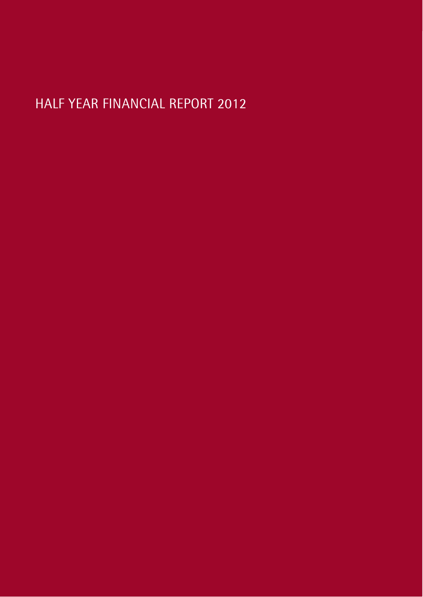# HALF YEAR FINANCIAL REPORT 2012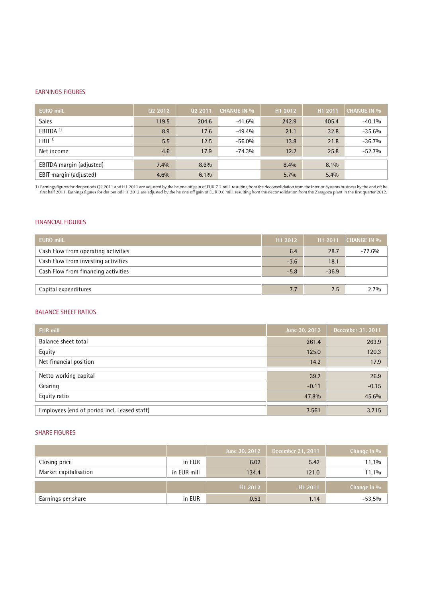#### EARNINGS FIGURES

| EURO mill.               | 02 2012 | 02 2011 | <b>CHANGE IN %</b> | H1 2012 | H1 2011 | <b>CHANGE IN %</b> |
|--------------------------|---------|---------|--------------------|---------|---------|--------------------|
| <b>Sales</b>             | 119.5   | 204.6   | $-41.6%$           | 242.9   | 405.4   | $-40.1%$           |
| EBITDA <sup>1)</sup>     | 8.9     | 17.6    | $-49.4%$           | 21.1    | 32.8    | $-35.6%$           |
| EBIT <sup>1</sup>        | 5.5     | 12.5    | $-56.0%$           | 13.8    | 21.8    | $-36.7%$           |
| Net income               | 4.6     | 17.9    | $-74.3%$           | 12.2    | 25.8    | $-52.7%$           |
| EBITDA margin (adjusted) | 7.4%    | 8.6%    |                    | 8.4%    | 8.1%    |                    |
| EBIT margin (adjusted)   | 4.6%    | $6.1\%$ |                    | 5.7%    | 5.4%    |                    |

1) Earnings figures for der periods Q2 2011 and H1 2011 are adjusted by the he one off gain of EUR 7.2 mill. resulting from the deconsolidation from the Interior Systems business by the end oft he<br>1012, first half 2011, Ea

#### FINANCIAL FIGURES

| H1 2012 | H1 2011 | <b>CHANGE IN %</b> |
|---------|---------|--------------------|
| 6.4     | 28.7    | -77.6%             |
| $-3.6$  | 18.1    |                    |
| $-5.8$  | $-36.9$ |                    |
|         |         |                    |
| 7.7     | 7.5     | 2.7%               |
|         |         |                    |

#### BALANCE SHEET RATIOS

| <b>EUR mill</b>                              | June 30, 2012 | December 31, 2011 |
|----------------------------------------------|---------------|-------------------|
| Balance sheet total                          | 261.4         | 263.9             |
| Equity                                       | 125.0         | 120.3             |
| Net financial position                       | 14.2          | 17.9              |
| Netto working capital                        | 39.2          | 26.9              |
|                                              |               |                   |
| Gearing                                      | $-0.11$       | $-0.15$           |
| Equity ratio                                 | 47.8%         | 45.6%             |
|                                              |               |                   |
| Employees (end of poriod incl. Leased staff) | 3.561         | 3.715             |

#### SHARE FIGURES

|                       |             | June 30, 2012 | December 31, 2011   | Change in %    |
|-----------------------|-------------|---------------|---------------------|----------------|
| Closing price         | in EUR      | 6.02          | 5.42                | 11,1%          |
| Market capitalisation | in EUR mill | 134.4         | 121.0               | 11,1%          |
|                       |             | H1 2012       | H <sub>1</sub> 2011 | Change in $\%$ |
|                       |             |               |                     |                |
| Earnings per share    | in EUR      | 0.53          | 1.14                | $-53,5%$       |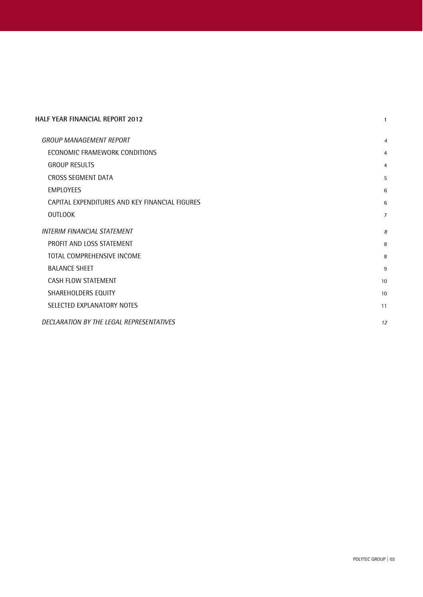| HALF YEAR FINANCIAL REPORT 2012                |                |
|------------------------------------------------|----------------|
| <b>GROUP MANAGEMENT REPORT</b>                 | 4              |
| ECONOMIC FRAMEWORK CONDITIONS                  | 4              |
| <b>GROUP RESULTS</b>                           | $\overline{4}$ |
| CROSS SEGMENT DATA                             | 5              |
| <b>EMPLOYEES</b>                               | 6              |
| CAPITAL EXPENDITURES AND KEY FINANCIAL FIGURES | 6              |
| <b>OUTLOOK</b>                                 | $\overline{7}$ |
| INTERIM FINANCIAL STATEMENT                    | 8              |
| PROFIT AND LOSS STATEMENT                      | 8              |
| TOTAL COMPREHENSIVE INCOME                     | 8              |
| <b>BALANCE SHEET</b>                           | 9              |
| CASH FLOW STATEMENT                            | 10             |
| SHAREHOLDERS EQUITY                            | 10             |
| SELECTED EXPLANATORY NOTES                     | 11             |
| DECLARATION BY THE LEGAL REPRESENTATIVES       | 12             |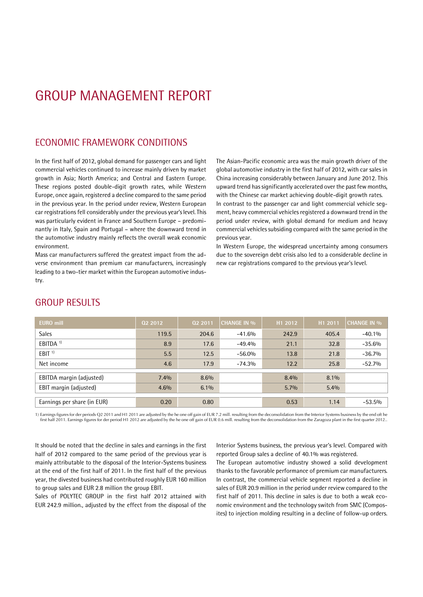# GROUP MANAGEMENT REPORT

### ECONOMIC FRAMEWORK CONDITIONS

In the first half of 2012, global demand for passenger cars and light commercial vehicles continued to increase mainly driven by market growth in Asia; North America; and Central and Eastern Europe. These regions posted double-digit growth rates, while Western Europe, once again, registered a decline compared to the same period in the previous year. In the period under review, Western European car registrations fell considerably under the previous year's level. This was particularly evident in France and Southern Europe - predominantly in Italy, Spain and Portugal – where the downward trend in the automotive industry mainly reflects the overall weak economic environment.

Mass car manufacturers suffered the greatest impact from the ad verse environment than premium car manufacturers, increasingly leading to a two-tier market within the European automotive industry.

The Asian-Pacific economic area was the main growth driver of the global automotive industry in the first half of 2012, with car sales in China increasing considerably between January and June 2012. This upward trend has significantly accelerated over the past few months, with the Chinese car market achieving double-digit growth rates. In contrast to the passenger car and light commercial vehicle seg ment, heavy commercial vehicles registered a downward trend in the period under review, with global demand for medium and heavy commercial vehicles subsiding compared with the same period in the previous year.

In Western Europe, the widespread uncertainty among consumers due to the sovereign debt crisis also led to a considerable decline in new car registrations compared to the previous year's level.

| <b>EURO mill</b>            | 02 2012 | 02 2011 | <b>CHANGE IN %</b> | H1 2012 | H1 2011 | <b>CHANGE IN %</b> |
|-----------------------------|---------|---------|--------------------|---------|---------|--------------------|
| <b>Sales</b>                | 119.5   | 204.6   | $-41.6%$           | 242.9   | 405.4   | $-40.1%$           |
| EBITDA <sup>1)</sup>        | 8.9     | 17.6    | $-49.4%$           | 21.1    | 32.8    | $-35.6%$           |
| EBIT <sup>1</sup>           | 5.5     | 12.5    | $-56.0%$           | 13.8    | 21.8    | $-36.7%$           |
| Net income                  | 4.6     | 17.9    | $-74.3%$           | 12.2    | 25.8    | $-52.7%$           |
| EBITDA margin (adjusted)    | 7.4%    | 8.6%    |                    | 8.4%    | 8.1%    |                    |
| EBIT margin (adjusted)      | 4.6%    | $6.1\%$ |                    | $5.7\%$ | 5.4%    |                    |
| Earnings per share (in EUR) | 0.20    | 0.80    |                    | 0.53    | 1.14    | $-53.5%$           |

### GROUP RESULTS

1) Earnings figures for der periods Q2 2011 and H1 2011 are adjusted by the he one off gain of EUR 7.2 mill.resulting from the deconsolidation from the Interior Systems business by the end oft he Early secure that the period of a contract the constant of the decomputation of the consolidation from the Zaragoza plant in the first quarter 2012.

It should be noted that the decline in sales and earnings in the first half of 2012 compared to the same period of the previous year is mainly attributable to the disposal of the Interior-Systems business at the end of the first half of 2011. In the first half of the previous year, the divested business had contributed roughly EUR 160 million to group sales and EUR 2.8 million the group EBIT.<br>Sales of POLYTEC GROUP in the first half 2012 attained with

EUR 242.9 million., adjusted by the effect from the disposal of the

Interior Systems business, the previous year's level. Compared with reported Group sales a decline of 40.1% was registered.

The European automotive industry showed a solid development thanks to the favorable performance of premium car manufacturers. In contrast, the commercial vehicle segment reported a decline in sales of EUR 20.9 million in the period under review compared to the first half of 2011. This decline in sales is due to both a weak eco nomic environment and the technology switch from SMC (Composites) to injection molding resulting in a decline of follow-up orders.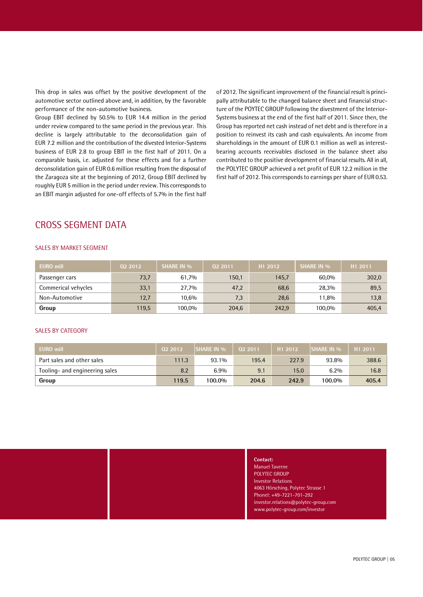This drop in sales was offset by the positive development of the automotive sector outlined above and, in addition, by the favorable performance of the non-automotive business.

Group EBIT declined by 50.5% to EUR 14.4 million in the period under review compared to the same period in the previous year. This decline is largely attributable to the deconsolidation gain of EUR 7.2 million and the contribution of the divested Interior-Systems business of EUR 2.8 to group EBIT in the first half of 2011. On a comparable basis, i.e. adjusted for these effects and for a further deconsolidation gain of EUR 0.6 million resulting from the disposal of the Zaragoza site at the beginning of 2012, Group EBIT declined by roughly EUR 5 million in the period under review. This corresponds to an EBIT margin adjusted for one-off effects of 5.7% in the first half of 2012. The significant improvement of the financial result is princi pally attributable to the changed balance sheet and financial structure of the POYTEC GROUP following the divestment of the Interior- Systems business at the end of the first half of 2011. Since then, the Group has reported net cash instead of net debt and is therefore in a position to reinvest its cash and cash equivalents. An income from shareholdings in the amount of EUR 0.1 million as well as interest bearing accounts receivables disclosed in the balance sheet also contributed to the positive development of financial results. All in all, the POLYTEC GROUP achieved a net profit of EUR 12.2 million in the first half of 2012. This corresponds to earnings per share of EUR 0.53.

### CROSS SEGMENT DATA

#### SALES BY MARKET SEGMENT

| <b>EURO mill</b>    | 02 2012 | <b>SHARE IN %</b> | 02 2011 | H1 2012 | <b>SHARE IN %</b> | H1 2011 |
|---------------------|---------|-------------------|---------|---------|-------------------|---------|
| Passenger cars      | 73,7    | 61,7%             | 150,1   | 145,7   | 60,0%             | 302,0   |
| Commerical vehycles | 33,1    | 27,7%             | 47,2    | 68,6    | 28,3%             | 89,5    |
| Non-Automotive      | 12,7    | 10.6%             | 7,3     | 28,6    | 11,8%             | 13,8    |
| Group               | 119,5   | 100,0%            | 204,6   | 242,9   | 100,0%            | 405,4   |

#### SALES BY CATEGORY

| EURO mill                      | 02 2012 | <b>SHARE IN %</b> | 02 2011 | H <sub>1</sub> 2012 | <b>SHARE IN %</b> | H <sub>1</sub> 2011 |
|--------------------------------|---------|-------------------|---------|---------------------|-------------------|---------------------|
| Part sales and other sales     | 111.3   | 93.1%             | 195.4   | 227.9               | 93.8%             | 388.6               |
| Tooling- and engineering sales | 8.2     | 6.9%              | 9.1     | 15.0                | 6.2%              | 16.8                |
| Group                          | 119.5   | 100.0%            | 204.6   | 242.9               | 100.0%            | 405.4               |

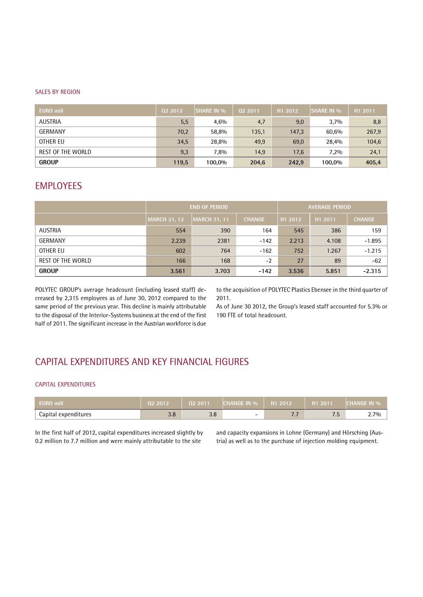#### SALES BY REGION

| <b>EURO</b> mill  | 02 2012 | <b>SHARE IN %</b> | 02 2011 | H <sub>1</sub> 2012 | <b>SHARE IN %</b> | H1 2011 |
|-------------------|---------|-------------------|---------|---------------------|-------------------|---------|
| <b>AUSTRIA</b>    | 5,5     | 4,6%              | 4,7     | 9,0                 | 3,7%              | 8,8     |
| <b>GERMANY</b>    | 70,2    | 58,8%             | 135,1   | 147,3               | 60,6%             | 267,9   |
| OTHER EU          | 34,5    | 28,8%             | 49,9    | 69,0                | 28,4%             | 104,6   |
| REST OF THE WORLD | 9,3     | 7,8%              | 14,9    | 17,6                | 7,2%              | 24,1    |
| <b>GROUP</b>      | 119,5   | 100,0%            | 204,6   | 242,9               | 100,0%            | 405,4   |

### EMPLOYEES

|                   | <b>END OF PERIOD</b> | <b>AVERAGE PERIOD</b> |               |                     |                     |               |
|-------------------|----------------------|-----------------------|---------------|---------------------|---------------------|---------------|
|                   | <b>MARCH 31, 12</b>  | MARCH 31, 11          | <b>CHANGE</b> | H <sub>1</sub> 2012 | H <sub>1</sub> 2011 | <b>CHANGE</b> |
| AUSTRIA           | 554                  | 390                   | 164           | 545                 | 386                 | 159           |
| <b>GERMANY</b>    | 2.239                | 2381                  | $-142$        | 2.213               | 4.108               | $-1.895$      |
| OTHER EU          | 602                  | 764                   | $-162$        | 752                 | 1.267               | $-1.215$      |
| REST OF THE WORLD | 166                  | 168                   | $-2$          | 27                  | 89                  | $-62$         |
| <b>GROUP</b>      | 3.561                | 3.703                 | $-142$        | 3.536               | 5.851               | $-2.315$      |

POLYTEC GROUP's average headcount (including leased staff) decreased by 2,315 employees as of June 30, 2012 compared to the same period of the previous year. This decline is mainly attributable to the disposal of the Interior-Systems business at the end of the first half of 2011. The significant increase in the Austrian workforce is due

to the acquisition of POLYTEC Plastics Ebensee in the third quarter of 2011.

As of June 30 2012, the Group's leased staff accounted for 5.3% or 190 FTE of total headcount.

### CAPITAL EXPENDITURES AND KEY FINANCIAL FIGURES

#### CAPITAL EXPENDITURES

| <b>EURO</b> mill     | 02 2012         | 02 2011 | <b>CHANGE IN %</b> | $\sqrt{H12012}$           | H <sub>1</sub> 2011           | <b>CHANGE IN %</b> |
|----------------------|-----------------|---------|--------------------|---------------------------|-------------------------------|--------------------|
| Capital expenditures | $\Omega$<br>J.O | 3.8     | -                  | $-1$<br>$\cdot$ . $\cdot$ | -<br>$\overline{\phantom{a}}$ | 2.7%               |

In the first half of 2012, capital expenditures increased slightly by and capacity expansions in Lohne (Germany) and Hörsching (Aus-<br>0.2 million to 7.7 million and were mainly attributable to the site tria) as well as to t

tria) as well as to the purchase of injection molding equipment.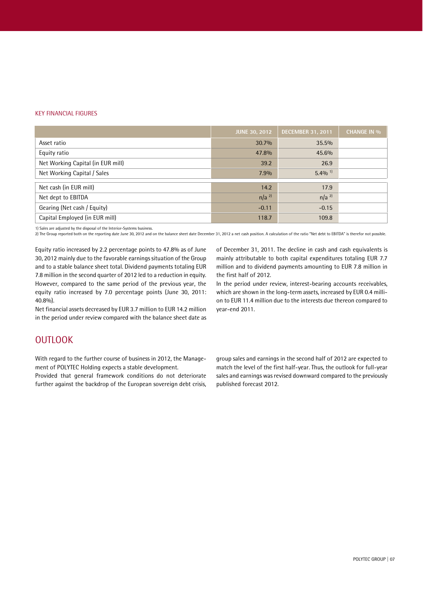#### KEY FINANCIAL FIGURES

|                                   | <b>JUNE 30, 2012</b> | <b>DECEMBER 31, 2011</b> | <b>CHANGE IN %</b> |
|-----------------------------------|----------------------|--------------------------|--------------------|
| Asset ratio                       | 30.7%                | 35.5%                    |                    |
| Equity ratio                      | 47.8%                | 45.6%                    |                    |
| Net Working Capital (in EUR mill) | 39.2                 | 26.9                     |                    |
| Net Working Capital / Sales       | 7.9%                 | $5.4\%$ <sup>1)</sup>    |                    |
| Net cash (in EUR mill)            | 14.2                 | 17.9                     |                    |
| Net dept to EBITDA                | $n/a$ <sup>2)</sup>  | $n/a$ <sup>2)</sup>      |                    |
| Gearing (Net cash / Equity)       | $-0.11$              | $-0.15$                  |                    |
| Capital Employed (in EUR mill)    | 118.7                | 109.8                    |                    |

1) Sales are adjusted by the disposal of the Interior-Systems business.

2) The Group reported both on the reporting date June 30, 2012 and on the balance sheet date December 31, 2012 a net cash position. A calculation of the ratio "Net debt to EBITDA" is therefor not possible.

Equity ratio increased by 2.2 percentage points to 47.8% as of June 30, 2012 mainly due to the favorable earnings situation of the Group and to a stable balance sheet total. Dividend payments totaling EUR 7.8 million in the second quarter of 2012 led to a reduction in equity. However, compared to the same period of the previous year, the equity ratio increased by 7.0 percentage points (June 30, 2011: 40.8%).

Net financial assets decreased by EUR 3.7 million to EUR 14.2 million in the period under review compared with the balance sheet date as of December 31, 2011. The decline in cash and cash equivalents is mainly attributable to both capital expenditures totaling EUR 7.7 million and to dividend payments amounting to EUR 7.8 million in the first half of 2012.

In the period under review, interest-bearing accounts receivables, which are shown in the long-term assets, increased by EUR 0.4 milli on to EUR 11.4 million due to the interests due thereon compared to year-end 2011.

### **OUTLOOK**

With regard to the further course of business in 2012, the Manage ment of POLYTEC Holding expects a stable development.

Provided that general framework conditions do not deteriorate further against the backdrop of the European sovereign debt crisis, group sales and earnings in the second half of 2012 are expected to match the level of the first half-year. Thus, the outlook for full-year sales and earnings was revised downward compared to the previously published forecast 2012.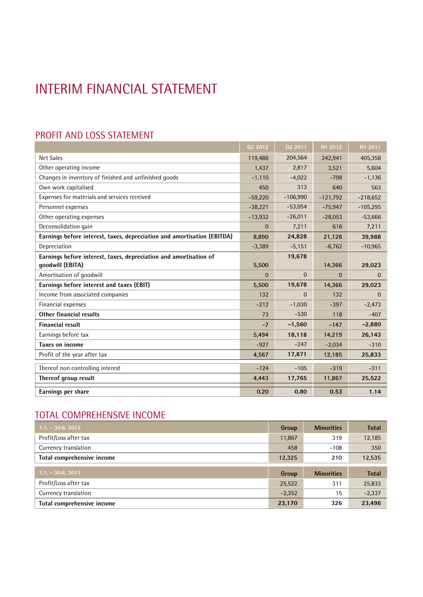# INTERIM FINANCIAL STATEMENT

## PROFIT AND LOSS STATEMENT

|                                                                         | 02 2012      | 02 2011      | H1 2012        | H1 2011      |
|-------------------------------------------------------------------------|--------------|--------------|----------------|--------------|
| <b>Net Sales</b>                                                        | 119,486      | 204,564      | 242,941        | 405,358      |
| Other operating income                                                  | 1,437        | 2,817        | 3,521          | 5,604        |
| Changes in inventory of finished and unfinished goods                   | $-1,110$     | $-4,022$     | $-798$         | $-1,136$     |
| Own work capitalised                                                    | 450          | 313          | 640            | 563          |
| Expenses for materials and services received                            | $-59,220$    | $-106,990$   | $-121,792$     | $-218,652$   |
| Personnel expenses                                                      | $-38,221$    | $-53,054$    | $-75,947$      | $-105,295$   |
| Other operating expenses                                                | $-13,932$    | $-26,011$    | $-28,053$      | $-53,666$    |
| Deconsolidation gain                                                    | $\mathbf{0}$ | 7,211        | 616            | 7,211        |
| Earnings before interest, taxes, depreciation and amortisation (EBITDA) | 8,890        | 24,828       | 21,128         | 39,988       |
| Depreciation                                                            | $-3,389$     | $-5,151$     | $-6,762$       | $-10,965$    |
| Earnings before interest, taxes, depreciation and amortisation of       |              | 19,678       |                |              |
| qoodwill (EBITA)                                                        | 5,500        |              | 14,366         | 29,023       |
| Amortisation of goodwill                                                | $\Omega$     | $\mathbf{0}$ | $\overline{0}$ | $\mathbf{0}$ |
| Earnings before interest and taxes (EBIT)                               | 5,500        | 19,678       | 14.366         | 29,023       |
| Income from associated companies                                        | 132          | $\Omega$     | 132            | $\Omega$     |
| Financial expenses                                                      | $-212$       | $-1,030$     | $-397$         | $-2,473$     |
| Other financial results                                                 | 73           | $-530$       | 118            | $-407$       |
| <b>Financial result</b>                                                 | $-7$         | $-1,560$     | $-147$         | $-2,880$     |
| Earnings before tax                                                     | 5,494        | 18,118       | 14,219         | 26,143       |
| Taxes on income                                                         | $-927$       | $-247$       | $-2,034$       | $-310$       |
| Profit of the year after tax                                            | 4,567        | 17,871       | 12,185         | 25,833       |
| Thereof non controlling interest                                        | $-124$       | $-105$       | $-319$         | $-311$       |
| Thereof group result                                                    | 4,443        | 17,765       | 11,867         | 25,522       |
| Earnings per share                                                      | 0.20         | 0.80         | 0.53           | 1.14         |

# TOTAL COMPREHENSIVE INCOME

| $1.1 - 30.6$ , 2012        | Group    | <b>Minorities</b> | <b>Total</b> |
|----------------------------|----------|-------------------|--------------|
| Profit/Loss after tax      | 11,867   | 319               | 12,185       |
| Currency translation       | 458      | $-108$            | 350          |
| Total comprehensive income | 12,325   | 210               | 12,535       |
| $1.1. - 30.6. 2011$        | Group    | <b>Minorities</b> | <b>Total</b> |
|                            |          |                   |              |
| Profit/Loss after tax      | 25,522   | 311               | 25,833       |
| Currency translation       | $-2,352$ | 15                | $-2,337$     |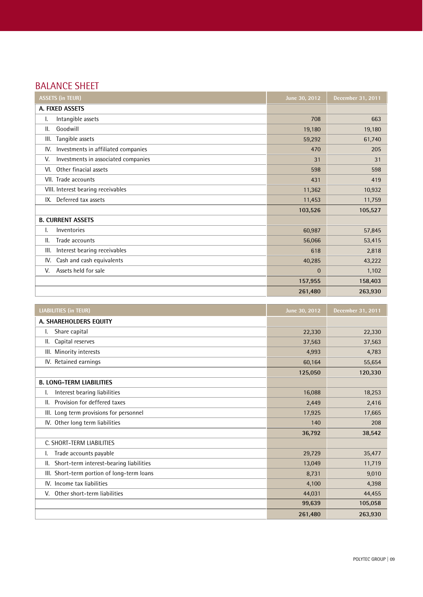# BALANCE SHEET

| <b>ASSETS (in TEUR)</b>                    | June 30, 2012 | December 31, 2011 |
|--------------------------------------------|---------------|-------------------|
| A. FIXED ASSETS                            |               |                   |
| Intangible assets<br>ı.                    | 708           | 663               |
| Goodwill<br>Ш.                             | 19,180        | 19,180            |
| Tangible assets<br>III.                    | 59,292        | 61,740            |
| Investments in affiliated companies<br>IV. | 470           | 205               |
| Investments in associated companies<br>V.  | 31            | 31                |
| Other finacial assets<br>VI.               | 598           | 598               |
| VII. Trade accounts                        | 431           | 419               |
| VIII. Interest bearing receivables         | 11,362        | 10,932            |
| Deferred tax assets<br>IX.                 | 11,453        | 11,759            |
|                                            | 103,526       | 105,527           |
| <b>B. CURRENT ASSETS</b>                   |               |                   |
| Inventories<br>ı.                          | 60,987        | 57,845            |
| Trade accounts<br>11.                      | 56,066        | 53,415            |
| Interest bearing receivables<br>III.       | 618           | 2,818             |
| Cash and cash equivalents<br>IV.           | 40,285        | 43,222            |
| Assets held for sale<br>V.                 | $\mathbf{0}$  | 1,102             |
|                                            | 157,955       | 158,403           |
|                                            | 261,480       | 263,930           |

| <b>LIABILITIES (in TEUR)</b>                  | June 30, 2012 | <b>December 31, 2011</b> |
|-----------------------------------------------|---------------|--------------------------|
| A. SHAREHOLDERS EQUITY                        |               |                          |
| Share capital                                 | 22,330        | 22,330                   |
| Capital reserves<br>Ш.                        | 37,563        | 37,563                   |
| III. Minority interests                       | 4,993         | 4,783                    |
| IV. Retained earnings                         | 60,164        | 55,654                   |
|                                               | 125,050       | 120,330                  |
| <b>B. LONG-TERM LIABILITIES</b>               |               |                          |
| Interest bearing liabilities                  | 16,088        | 18,253                   |
| Provision for deffered taxes<br>11.           | 2,449         | 2,416                    |
| III. Long term provisions for personnel       | 17,925        | 17,665                   |
| IV. Other long term liabilities               | 140           | 208                      |
|                                               | 36,792        | 38,542                   |
| C. SHORT-TERM LIABILITIES                     |               |                          |
| Trade accounts payable                        | 29,729        | 35,477                   |
| Short-term interest-bearing liabilities<br>Ш. | 13,049        | 11,719                   |
| III. Short-term portion of long-term loans    | 8,731         | 9,010                    |
| IV. Income tax liabilities                    | 4,100         | 4,398                    |
| Other short-term liabilities<br>V.            | 44,031        | 44,455                   |
|                                               | 99,639        | 105,058                  |
|                                               | 261,480       | 263,930                  |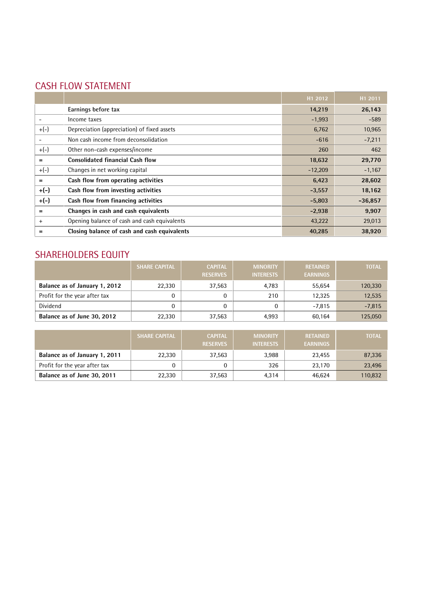# CASH FLOW STATEMENT

|        |                                              | H1 2012   | H1 2011   |
|--------|----------------------------------------------|-----------|-----------|
|        | Earnings before tax                          | 14,219    | 26,143    |
|        | Income taxes                                 | $-1,993$  | $-589$    |
| $+(-)$ | Depreciation (appreciation) of fixed assets  | 6,762     | 10,965    |
|        | Non cash income from deconsolidation         | $-616$    | $-7,211$  |
| $+(-)$ | Other non-cash expenses/income               | 260       | 462       |
| =      | <b>Consolidated financial Cash flow</b>      | 18,632    | 29,770    |
| $+(-)$ | Changes in net working capital               | $-12,209$ | $-1,167$  |
| $=$    | Cash flow from operating activities          | 6,423     | 28,602    |
| $+(-)$ | Cash flow from investing activities          | $-3,557$  | 18,162    |
| $+(-)$ | Cash flow from financing activities          | $-5,803$  | $-36,857$ |
| =      | Changes in cash and cash equivalents         | $-2,938$  | 9,907     |
| $+$    | Opening balance of cash and cash equivalents | 43,222    | 29,013    |
|        | Closing balance of cash and cash equivalents | 40,285    | 38,920    |

## SHAREHOLDERS EQUITY

|                               | <b>SHARE CAPITAL</b> | <b>CAPITAL</b><br><b>RESERVES</b> | <b>MINORITY</b><br><b>INTERESTS</b> | <b>RETAINED</b><br><b>EARNINGS</b> | <b>TOTAL</b> |
|-------------------------------|----------------------|-----------------------------------|-------------------------------------|------------------------------------|--------------|
| Balance as of January 1, 2012 | 22,330               | 37,563                            | 4,783                               | 55,654                             | 120,330      |
| Profit for the year after tax |                      |                                   | 210                                 | 12,325                             | 12,535       |
| Dividend                      |                      |                                   |                                     | $-7,815$                           | $-7,815$     |
| Balance as of June 30, 2012   | 22,330               | 37,563                            | 4,993                               | 60,164                             | 125,050      |

|                               | <b>SHARE CAPITAL</b> | <b>CAPITAL</b><br><b>RESERVES</b> | <b>MINORITY</b><br><b>INTERESTS</b> | <b>RETAINED</b><br><b>EARNINGS</b> | <b>TOTAL</b> |
|-------------------------------|----------------------|-----------------------------------|-------------------------------------|------------------------------------|--------------|
| Balance as of January 1, 2011 | 22,330               | 37.563                            | 3,988                               | 23,455                             | 87,336       |
| Profit for the year after tax |                      |                                   | 326                                 | 23.170                             | 23,496       |
| Balance as of June 30, 2011   | 22,330               | 37,563                            | 4,314                               | 46,624                             | 110,832      |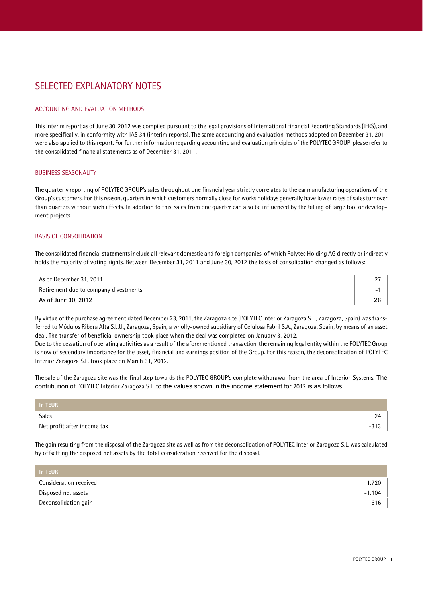## SELECTED EXPLANATORY NOTES

#### ACCOUNTING AND EVALUATION METHODS

This interim report as of June 30, 2012 was compiled pursuant to the legal provisions of International Financial Reporting Standards(IFRS), and more specifically, in conformity with IAS 34 (interim reports). The same accounting and evaluation methods adopted on December 31, 2011 were also applied to this report. For further information regarding accounting and evaluation principles of the POLYTEC GROUP, please refer to the consolidated financial statements as of December 31, 2011.

#### BUSINESS SEASONALITY

The quarterly reporting of POLYTEC GROUPís sales throughout one financial year strictly correlates to the car manufacturing operations of the Groupís customers. For this reason, quarters in which customers normally close for works holidays generally have lower rates of salesturnover than quarters without such effects. In addition to this, sales from one quarter can also be influenced by the billing of large tool or develop ment projects.

#### BASIS OF CONSOLIDATION

The consolidated financial statements include all relevant domestic and foreign companies, of which Polytec Holding AG directly or indirectly holds the majority of voting rights. Between December 31, 2011 and June 30, 2012 the basis of consolidation changed as follows:

| As of December 31, 2011               | <u>_ ,</u> |
|---------------------------------------|------------|
| Retirement due to company divestments |            |
| As of June 30, 2012                   | 26         |

By virtue of the purchase agreement dated December 23, 2011, the Zaragoza site (POLYTEC Interior Zaragoza S.L., Zaragoza, Spain) was transferred to MÛdulos Ribera Alta S.L.U., Zaragoza, Spain, a wholly-owned subsidiary of Celulosa Fabril S.A., Zaragoza, Spain, by means of an asset deal. The transfer of beneficial ownership took place when the deal was completed on January 3, 2012.

Due to the cessation of operating activities as a result of the aforementioned transaction, the remaining legal entity within the POLYTEC Group is now of secondary importance for the asset, financial and earnings position of the Group. For this reason, the deconsolidation of POLYTEC Interior Zaragoza S.L. took place on March 31, 2012.

The sale of the Zaragoza site was the final step towards the POLYTEC GROUP's complete withdrawal from the area of Interior-Systems. The contribution of POLYTEC Interior Zaragoza S.L. to the values shown in the income statement for 2012 is as follows:

| In TEUR                     |             |
|-----------------------------|-------------|
| Sales                       | 24          |
| Net profit after income tax | 0.10<br>- 1 |

The gain resulting from the disposal of the Zaragoza site as well as from the deconsolidation of POLYTEC Interior Zaragoza S.L. was calculated by offsetting the disposed net assets by the total consideration received for the disposal.

| In TEUR                |          |
|------------------------|----------|
| Consideration received | 1.720    |
| Disposed net assets    | $-1.104$ |
| Deconsolidation gain   | 616      |